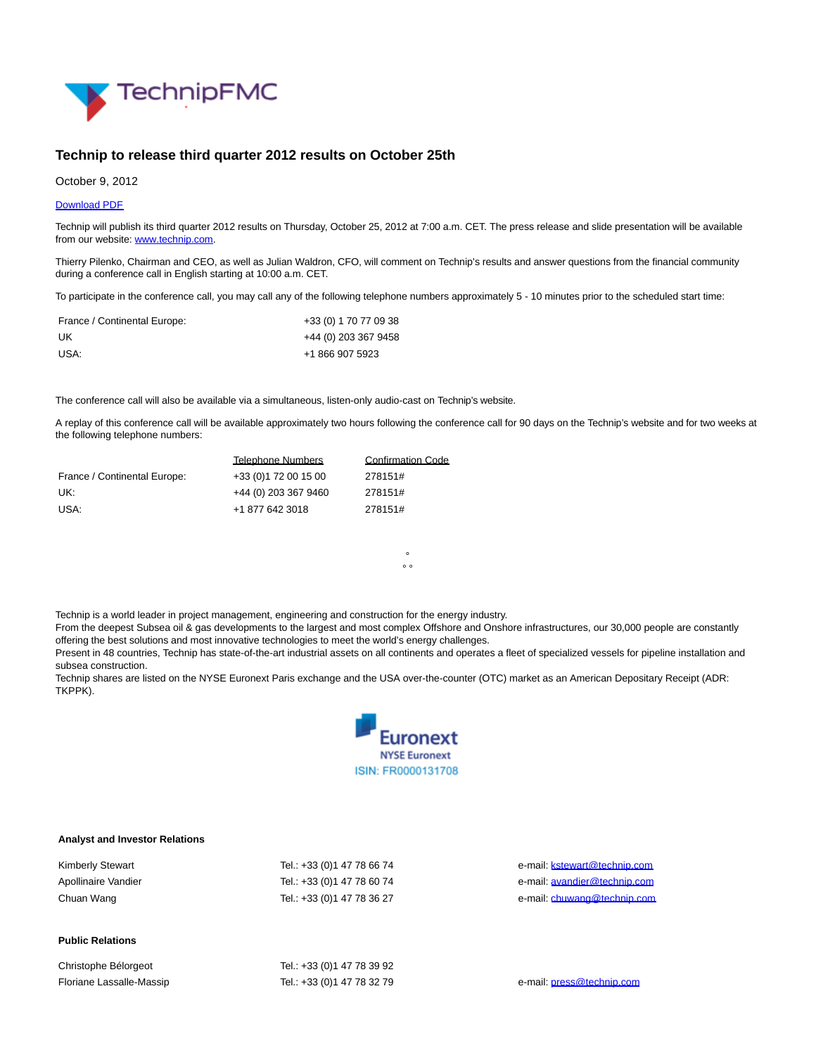

## **Technip to release third quarter 2012 results on October 25th**

October 9, 2012

## [Download PDF](http://phx.corporate-ir.net/External.File?item=UGFyZW50SUQ9MTU2MzUwfENoaWxkSUQ9LTF8VHlwZT0z&t=1)

Technip will publish its third quarter 2012 results on Thursday, October 25, 2012 at 7:00 a.m. CET. The press release and slide presentation will be available from our website[: www.technip.com.](http://www.technip.com/)

Thierry Pilenko, Chairman and CEO, as well as Julian Waldron, CFO, will comment on Technip's results and answer questions from the financial community during a conference call in English starting at 10:00 a.m. CET.

To participate in the conference call, you may call any of the following telephone numbers approximately 5 - 10 minutes prior to the scheduled start time:

| France / Continental Europe: | +33 (0) 1 70 77 09 38 |
|------------------------------|-----------------------|
| UK                           | +44 (0) 203 367 9458  |
| USA:                         | +1 866 907 5923       |

The conference call will also be available via a simultaneous, listen-only audio-cast on Technip's website.

A replay of this conference call will be available approximately two hours following the conference call for 90 days on the Technip's website and for two weeks at the following telephone numbers:

> °  $^{\circ}$

|                              | <b>Telephone Numbers</b> | <b>Confirmation Code</b> |
|------------------------------|--------------------------|--------------------------|
| France / Continental Europe: | +33 (0) 172 00 15 00     | 278151#                  |
| UK:                          | +44 (0) 203 367 9460     | 278151#                  |
| USA:                         | +1 877 642 3018          | 278151#                  |

Technip is a world leader in project management, engineering and construction for the energy industry.

From the deepest Subsea oil & gas developments to the largest and most complex Offshore and Onshore infrastructures, our 30,000 people are constantly offering the best solutions and most innovative technologies to meet the world's energy challenges.

Present in 48 countries, Technip has state-of-the-art industrial assets on all continents and operates a fleet of specialized vessels for pipeline installation and subsea construction.

Technip shares are listed on the NYSE Euronext Paris exchange and the USA over-the-counter (OTC) market as an American Depositary Receipt (ADR: TKPPK).



## **Analyst and Investor Relations**

| <b>Kimberly Stewart</b> | Tel.: +33 (0) 1 47 78 66 74 |
|-------------------------|-----------------------------|
| Apollinaire Vandier     | Tel.: +33 (0) 1 47 78 60 74 |
| Chuan Wang              | Tel.: +33 (0) 1 47 78 36 27 |

## **Public Relations**

Christophe Bélorgeot Tel.: +33 (0) 1 47 78 39 92 Floriane Lassalle-Massip Tel.: +33 (0)1 47 78 32 79 e-mail: [press@technip.com](mailto:press@technip.com)

e-mail: **kstewart@technip.com** e-mail: [avandier@technip.com](mailto:avandier@technip.com) e-mail: [chuwang@technip.com](mailto:chuwang@technip.com)